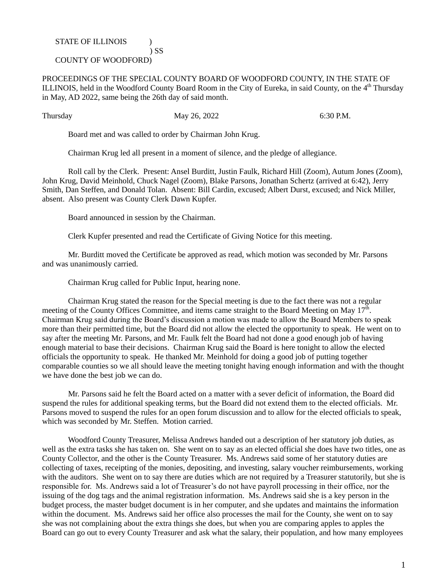## STATE OF ILLINOIS  $\qquad$  )

## COUNTY OF WOODFORD)

PROCEEDINGS OF THE SPECIAL COUNTY BOARD OF WOODFORD COUNTY, IN THE STATE OF ILLINOIS, held in the Woodford County Board Room in the City of Eureka, in said County, on the 4<sup>th</sup> Thursday in May, AD 2022, same being the 26th day of said month.

Thursday May 26, 2022 6:30 P.M.

Board met and was called to order by Chairman John Krug.

) SS

Chairman Krug led all present in a moment of silence, and the pledge of allegiance.

Roll call by the Clerk. Present: Ansel Burditt, Justin Faulk, Richard Hill (Zoom), Autum Jones (Zoom), John Krug, David Meinhold, Chuck Nagel (Zoom), Blake Parsons, Jonathan Schertz (arrived at 6:42), Jerry Smith, Dan Steffen, and Donald Tolan. Absent: Bill Cardin, excused; Albert Durst, excused; and Nick Miller, absent. Also present was County Clerk Dawn Kupfer.

Board announced in session by the Chairman.

Clerk Kupfer presented and read the Certificate of Giving Notice for this meeting.

Mr. Burditt moved the Certificate be approved as read, which motion was seconded by Mr. Parsons and was unanimously carried.

Chairman Krug called for Public Input, hearing none.

Chairman Krug stated the reason for the Special meeting is due to the fact there was not a regular meeting of the County Offices Committee, and items came straight to the Board Meeting on May  $17^{\text{th}}$ . Chairman Krug said during the Board's discussion a motion was made to allow the Board Members to speak more than their permitted time, but the Board did not allow the elected the opportunity to speak. He went on to say after the meeting Mr. Parsons, and Mr. Faulk felt the Board had not done a good enough job of having enough material to base their decisions. Chairman Krug said the Board is here tonight to allow the elected officials the opportunity to speak. He thanked Mr. Meinhold for doing a good job of putting together comparable counties so we all should leave the meeting tonight having enough information and with the thought we have done the best job we can do.

Mr. Parsons said he felt the Board acted on a matter with a sever deficit of information, the Board did suspend the rules for additional speaking terms, but the Board did not extend them to the elected officials. Mr. Parsons moved to suspend the rules for an open forum discussion and to allow for the elected officials to speak, which was seconded by Mr. Steffen. Motion carried.

Woodford County Treasurer, Melissa Andrews handed out a description of her statutory job duties, as well as the extra tasks she has taken on. She went on to say as an elected official she does have two titles, one as County Collector, and the other is the County Treasurer. Ms. Andrews said some of her statutory duties are collecting of taxes, receipting of the monies, depositing, and investing, salary voucher reimbursements, working with the auditors. She went on to say there are duties which are not required by a Treasurer statutorily, but she is responsible for. Ms. Andrews said a lot of Treasurer's do not have payroll processing in their office, nor the issuing of the dog tags and the animal registration information. Ms. Andrews said she is a key person in the budget process, the master budget document is in her computer, and she updates and maintains the information within the document. Ms. Andrews said her office also processes the mail for the County, she went on to say she was not complaining about the extra things she does, but when you are comparing apples to apples the Board can go out to every County Treasurer and ask what the salary, their population, and how many employees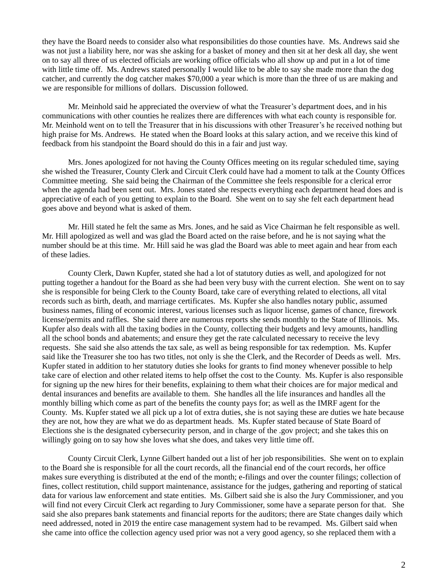they have the Board needs to consider also what responsibilities do those counties have. Ms. Andrews said she was not just a liability here, nor was she asking for a basket of money and then sit at her desk all day, she went on to say all three of us elected officials are working office officials who all show up and put in a lot of time with little time off. Ms. Andrews stated personally I would like to be able to say she made more than the dog catcher, and currently the dog catcher makes \$70,000 a year which is more than the three of us are making and we are responsible for millions of dollars. Discussion followed.

Mr. Meinhold said he appreciated the overview of what the Treasurer's department does, and in his communications with other counties he realizes there are differences with what each county is responsible for. Mr. Meinhold went on to tell the Treasurer that in his discussions with other Treasurer's he received nothing but high praise for Ms. Andrews. He stated when the Board looks at this salary action, and we receive this kind of feedback from his standpoint the Board should do this in a fair and just way.

Mrs. Jones apologized for not having the County Offices meeting on its regular scheduled time, saying she wished the Treasurer, County Clerk and Circuit Clerk could have had a moment to talk at the County Offices Committee meeting. She said being the Chairman of the Committee she feels responsible for a clerical error when the agenda had been sent out. Mrs. Jones stated she respects everything each department head does and is appreciative of each of you getting to explain to the Board. She went on to say she felt each department head goes above and beyond what is asked of them.

Mr. Hill stated he felt the same as Mrs. Jones, and he said as Vice Chairman he felt responsible as well. Mr. Hill apologized as well and was glad the Board acted on the raise before, and he is not saying what the number should be at this time. Mr. Hill said he was glad the Board was able to meet again and hear from each of these ladies.

County Clerk, Dawn Kupfer, stated she had a lot of statutory duties as well, and apologized for not putting together a handout for the Board as she had been very busy with the current election. She went on to say she is responsible for being Clerk to the County Board, take care of everything related to elections, all vital records such as birth, death, and marriage certificates. Ms. Kupfer she also handles notary public, assumed business names, filing of economic interest, various licenses such as liquor license, games of chance, firework license/permits and raffles. She said there are numerous reports she sends monthly to the State of Illinois. Ms. Kupfer also deals with all the taxing bodies in the County, collecting their budgets and levy amounts, handling all the school bonds and abatements; and ensure they get the rate calculated necessary to receive the levy requests. She said she also attends the tax sale, as well as being responsible for tax redemption. Ms. Kupfer said like the Treasurer she too has two titles, not only is she the Clerk, and the Recorder of Deeds as well. Mrs. Kupfer stated in addition to her statutory duties she looks for grants to find money whenever possible to help take care of election and other related items to help offset the cost to the County. Ms. Kupfer is also responsible for signing up the new hires for their benefits, explaining to them what their choices are for major medical and dental insurances and benefits are available to them. She handles all the life insurances and handles all the monthly billing which come as part of the benefits the county pays for; as well as the IMRF agent for the County. Ms. Kupfer stated we all pick up a lot of extra duties, she is not saying these are duties we hate because they are not, how they are what we do as department heads. Ms. Kupfer stated because of State Board of Elections she is the designated cybersecurity person, and in charge of the .gov project; and she takes this on willingly going on to say how she loves what she does, and takes very little time off.

County Circuit Clerk, Lynne Gilbert handed out a list of her job responsibilities. She went on to explain to the Board she is responsible for all the court records, all the financial end of the court records, her office makes sure everything is distributed at the end of the month; e-filings and over the counter filings; collection of fines, collect restitution, child support maintenance, assistance for the judges, gathering and reporting of statical data for various law enforcement and state entities. Ms. Gilbert said she is also the Jury Commissioner, and you will find not every Circuit Clerk act regarding to Jury Commissioner, some have a separate person for that. She said she also prepares bank statements and financial reports for the auditors; there are State changes daily which need addressed, noted in 2019 the entire case management system had to be revamped. Ms. Gilbert said when she came into office the collection agency used prior was not a very good agency, so she replaced them with a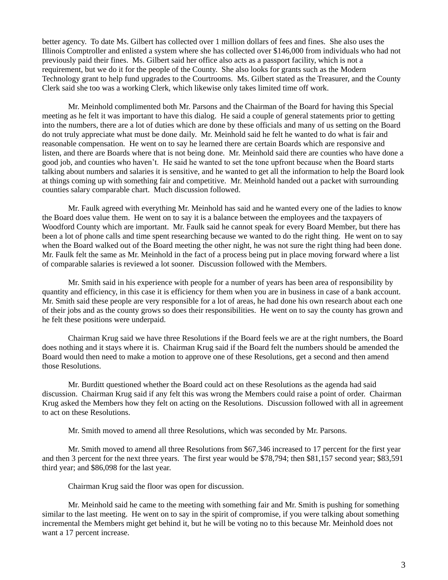better agency. To date Ms. Gilbert has collected over 1 million dollars of fees and fines. She also uses the Illinois Comptroller and enlisted a system where she has collected over \$146,000 from individuals who had not previously paid their fines. Ms. Gilbert said her office also acts as a passport facility, which is not a requirement, but we do it for the people of the County. She also looks for grants such as the Modern Technology grant to help fund upgrades to the Courtrooms. Ms. Gilbert stated as the Treasurer, and the County Clerk said she too was a working Clerk, which likewise only takes limited time off work.

Mr. Meinhold complimented both Mr. Parsons and the Chairman of the Board for having this Special meeting as he felt it was important to have this dialog. He said a couple of general statements prior to getting into the numbers, there are a lot of duties which are done by these officials and many of us setting on the Board do not truly appreciate what must be done daily. Mr. Meinhold said he felt he wanted to do what is fair and reasonable compensation. He went on to say he learned there are certain Boards which are responsive and listen, and there are Boards where that is not being done. Mr. Meinhold said there are counties who have done a good job, and counties who haven't. He said he wanted to set the tone upfront because when the Board starts talking about numbers and salaries it is sensitive, and he wanted to get all the information to help the Board look at things coming up with something fair and competitive. Mr. Meinhold handed out a packet with surrounding counties salary comparable chart. Much discussion followed.

Mr. Faulk agreed with everything Mr. Meinhold has said and he wanted every one of the ladies to know the Board does value them. He went on to say it is a balance between the employees and the taxpayers of Woodford County which are important. Mr. Faulk said he cannot speak for every Board Member, but there has been a lot of phone calls and time spent researching because we wanted to do the right thing. He went on to say when the Board walked out of the Board meeting the other night, he was not sure the right thing had been done. Mr. Faulk felt the same as Mr. Meinhold in the fact of a process being put in place moving forward where a list of comparable salaries is reviewed a lot sooner. Discussion followed with the Members.

Mr. Smith said in his experience with people for a number of years has been area of responsibility by quantity and efficiency, in this case it is efficiency for them when you are in business in case of a bank account. Mr. Smith said these people are very responsible for a lot of areas, he had done his own research about each one of their jobs and as the county grows so does their responsibilities. He went on to say the county has grown and he felt these positions were underpaid.

Chairman Krug said we have three Resolutions if the Board feels we are at the right numbers, the Board does nothing and it stays where it is. Chairman Krug said if the Board felt the numbers should be amended the Board would then need to make a motion to approve one of these Resolutions, get a second and then amend those Resolutions.

Mr. Burditt questioned whether the Board could act on these Resolutions as the agenda had said discussion. Chairman Krug said if any felt this was wrong the Members could raise a point of order. Chairman Krug asked the Members how they felt on acting on the Resolutions. Discussion followed with all in agreement to act on these Resolutions.

Mr. Smith moved to amend all three Resolutions, which was seconded by Mr. Parsons.

Mr. Smith moved to amend all three Resolutions from \$67,346 increased to 17 percent for the first year and then 3 percent for the next three years. The first year would be \$78,794; then \$81,157 second year; \$83,591 third year; and \$86,098 for the last year.

Chairman Krug said the floor was open for discussion.

Mr. Meinhold said he came to the meeting with something fair and Mr. Smith is pushing for something similar to the last meeting. He went on to say in the spirit of compromise, if you were talking about something incremental the Members might get behind it, but he will be voting no to this because Mr. Meinhold does not want a 17 percent increase.